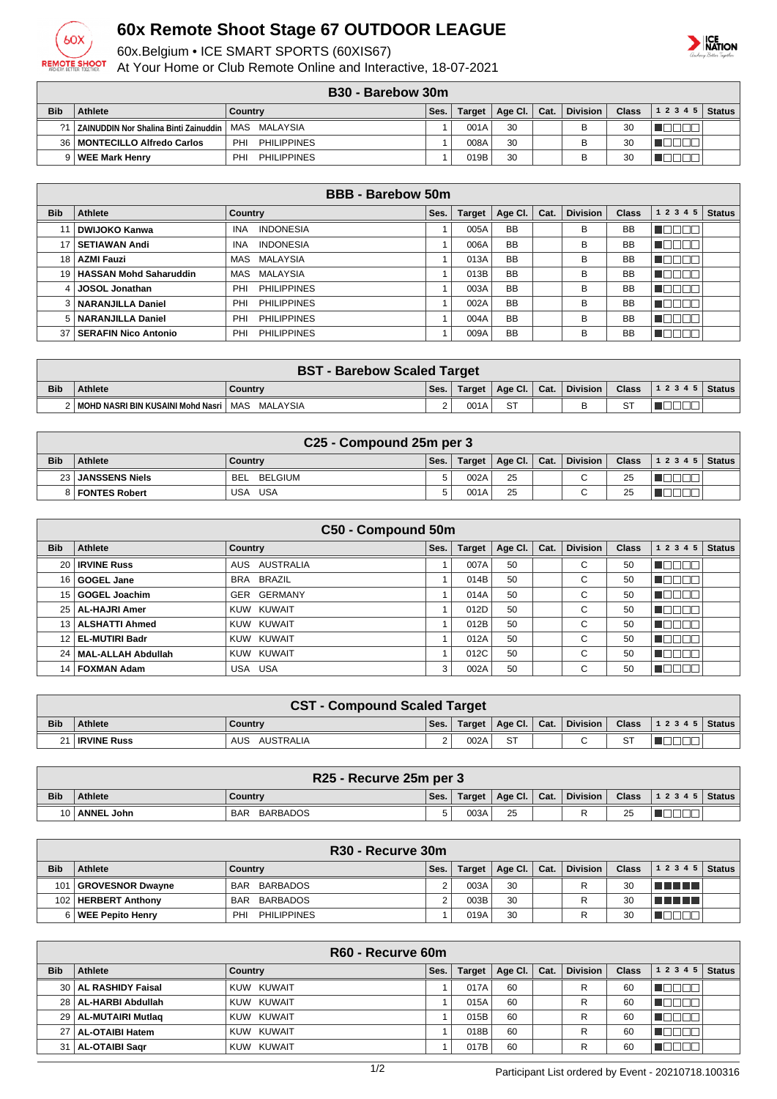

## **60x Remote Shoot Stage 67 OUTDOOR LEAGUE**

60x.Belgium • ICE SMART SPORTS (60XIS67)

At Your Home or Club Remote Online and Interactive, 18-07-2021

## **ICE**<br>NATION

| B30 - Barebow 30m |
|-------------------|
|-------------------|

|            | ---<br>PURVUU VUIII                                      |                           |      |         |                |  |                 |              |           |        |  |
|------------|----------------------------------------------------------|---------------------------|------|---------|----------------|--|-----------------|--------------|-----------|--------|--|
| <b>Bib</b> | <b>Athlete</b>                                           | Country                   | Ses. | Target, | Age Cl.   Cat. |  | <b>Division</b> | <b>Class</b> | 1 2 3 4 5 | Status |  |
|            | 1   ZAINUDDIN Nor Shalina Binti Zainuddin   MAS MALAYSIA |                           |      | 001A    | 30             |  |                 | 30           |           |        |  |
|            | 36   MONTECILLO Alfredo Carlos                           | <b>PHILIPPINES</b><br>PHI |      | 008A    | 30             |  |                 | 30           |           |        |  |
|            | 9   WEE Mark Henry                                       | <b>PHILIPPINES</b><br>PH  |      | 019B    | 30             |  |                 | 30           |           |        |  |

| <b>BBB - Barebow 50m</b> |                             |                                |      |               |           |      |                 |              |               |               |
|--------------------------|-----------------------------|--------------------------------|------|---------------|-----------|------|-----------------|--------------|---------------|---------------|
| <b>Bib</b>               | Athlete                     | Country                        | Ses. | <b>Target</b> | Age Cl.   | Cat. | <b>Division</b> | <b>Class</b> | 1 2 3 4 5     | <b>Status</b> |
|                          | <b>DWIJOKO Kanwa</b>        | <b>INA</b><br><b>INDONESIA</b> |      | 005A          | <b>BB</b> |      | В               | <b>BB</b>    | N E E E       |               |
|                          | <b>SETIAWAN Andi</b>        | <b>INDONESIA</b><br><b>INA</b> |      | 006A          | <b>BB</b> |      | В               | <b>BB</b>    | N E E E E     |               |
| 18                       | AZMI Fauzi                  | MAS MALAYSIA                   |      | 013A          | <b>BB</b> |      | В               | <b>BB</b>    | 30 Q<br>an in |               |
|                          | 19   HASSAN Mohd Saharuddin | MAS MALAYSIA                   |      | 013B          | <b>BB</b> |      | В               | <b>BB</b>    | N E E E E     |               |
|                          | <b>JOSOL Jonathan</b>       | <b>PHILIPPINES</b><br>PHI      |      | 003A          | <b>BB</b> |      | B               | <b>BB</b>    | חרור          |               |
|                          | NARANJILLA Daniel           | PHI<br><b>PHILIPPINES</b>      |      | 002A          | <b>BB</b> |      | В               | <b>BB</b>    | ME E E E      |               |
| 5 I                      | NARANJILLA Daniel           | <b>PHILIPPINES</b><br>PHI      |      | 004A          | <b>BB</b> |      | В               | <b>BB</b>    | UN DEL L      |               |
| 37                       | SERAFIN Nico Antonio        | <b>PHILIPPINES</b><br>PHI      |      | 009A          | <b>BB</b> |      | B               | <b>BB</b>    | TELEL         |               |

|            | <b>BST - Barebow Scaled Target</b>      |          |        |        |                              |  |          |              |                    |  |  |
|------------|-----------------------------------------|----------|--------|--------|------------------------------|--|----------|--------------|--------------------|--|--|
| <b>Bib</b> | <b>Athlete</b>                          | Country  | Ses.   | Target | $\vert$ Age Cl. $\vert$ Cat. |  | Division | <b>Class</b> | 1 2 3 4 5   Status |  |  |
|            | MOHD NASRI BIN KUSAINI Mohd Nasri   MAS | MALAYSIA | $\sim$ | 001A   | cт                           |  | в        |              |                    |  |  |

| C <sub>25</sub> - Compound 25m per 3 |                   |                       |      |        |                      |  |                 |              |                |  |
|--------------------------------------|-------------------|-----------------------|------|--------|----------------------|--|-----------------|--------------|----------------|--|
| <b>Bib</b>                           | <b>Athlete</b>    | Country               | Ses. | Target | Age Cl. $\vert$ Cat. |  | <b>Division</b> | <b>Class</b> | $12345$ Status |  |
|                                      | 23 JANSSENS Niels | BELGIUM<br><b>BEL</b> |      | 002A   | 25                   |  | $\sim$<br>ີ     | 25           |                |  |
|                                      | 8   FONTES Robert | USA<br>JSA            |      | 001A   | 25                   |  | ⌒<br>ັ          | 25           |                |  |

| C50 - Compound 50m |                         |                   |      |               |         |      |                 |              |           |               |
|--------------------|-------------------------|-------------------|------|---------------|---------|------|-----------------|--------------|-----------|---------------|
| <b>Bib</b>         | Athlete                 | Country           | Ses. | <b>Target</b> | Age Cl. | Cat. | <b>Division</b> | <b>Class</b> | 1 2 3 4 5 | <b>Status</b> |
|                    | 20   IRVINE Russ        | AUSTRALIA<br>AUS. |      | 007A          | 50      |      | С               | 50           |           |               |
|                    | 16 GOGEL Jane           | BRA BRAZIL        |      | 014B          | 50      |      | $\sim$<br>U     | 50           | كاكاكا    |               |
|                    | 15 GOGEL Joachim        | GER GERMANY       |      | 014A          | 50      |      | $\sim$<br>U     | 50           |           |               |
|                    | 25   AL-HAJRI Amer      | KUW KUWAIT        |      | 012D          | 50      |      | C               | 50           | TE E E E  |               |
|                    | 13   ALSHATTI Ahmed     | KUW KUWAIT        |      | 012B          | 50      |      | $\sim$<br>◡     | 50           |           |               |
|                    | 12 EL-MUTIRI Badr       | KUW KUWAIT        |      | 012A          | 50      |      | С               | 50           | NG E EI   |               |
|                    | 24   MAL-ALLAH Abdullah | KUW KUWAIT        |      | 012C          | 50      |      | С               | 50           | ∎⊟⊟∟      |               |
|                    | 14   FOXMAN Adam        | USA USA           | 3    | 002A          | 50      |      | С               | 50           |           |               |

| <b>CST - Compound Scaled Target</b> |                    |                         |      |        |                          |  |          |              |                    |  |
|-------------------------------------|--------------------|-------------------------|------|--------|--------------------------|--|----------|--------------|--------------------|--|
| <b>Bib</b>                          | <b>Athlete</b>     | Country                 | Ses. | Target | $ $ Age Cl. $ $ Cat. $ $ |  | Division | <b>Class</b> | 1 2 3 4 5   Status |  |
|                                     | <b>IRVINE Russ</b> | AUSTRALIA<br><b>AUS</b> |      | 002A   | <b>ST</b>                |  | $\sim$   |              |                    |  |

| R25 - Recurve 25m per 3 |                |                        |      |        |                          |  |          |    |                                                                |  |
|-------------------------|----------------|------------------------|------|--------|--------------------------|--|----------|----|----------------------------------------------------------------|--|
| <b>Bib</b>              | <b>Athlete</b> | Country                | Ses. | Target | $ $ Age Cl. $ $ Cat. $ $ |  | Division |    | Class $\begin{vmatrix} 1 & 2 & 3 & 4 & 5 \end{vmatrix}$ Status |  |
|                         | ANNEL John     | BARBADOS<br><b>BAR</b> | 5    | 003A   | 25                       |  |          | 25 |                                                                |  |

| R <sub>30</sub> - Recurve 30m |                       |                           |      |               |             |      |                 |              |                |  |
|-------------------------------|-----------------------|---------------------------|------|---------------|-------------|------|-----------------|--------------|----------------|--|
| <b>Bib</b>                    | Athlete               | Country                   | Ses. | <b>Target</b> | Age Cl. $ $ | Cat. | <b>Division</b> | <b>Class</b> | $12345$ Status |  |
| 101                           | GROVESNOR Dwayne      | BAR BARBADOS              |      | 003A          | 30          |      |                 | 30           | T FI FI FI     |  |
|                               | 102   HERBERT Anthony | BARBADOS<br>BAR           |      | 003B          | 30          |      |                 | 30           | TELET          |  |
|                               | 6   WEE Pepito Henry  | PH.<br><b>PHILIPPINES</b> |      | 019A          | 30          |      |                 | 30           |                |  |

|            | R60 - Recurve 60m      |                |      |               |                 |      |                 |              |              |               |  |
|------------|------------------------|----------------|------|---------------|-----------------|------|-----------------|--------------|--------------|---------------|--|
| <b>Bib</b> | Athlete                | <b>Country</b> | Ses. | <b>Target</b> | Age Cl. $\vert$ | Cat. | <b>Division</b> | <b>Class</b> | 12345        | <b>Status</b> |  |
|            | 30   AL RASHIDY Faisal | KUW KUWAIT     |      | 017A          | 60              |      | R               | 60           |              |               |  |
|            | 28   AL-HARBI Abdullah | KUW KUWAIT     |      | 015A          | 60              |      | R               | 60           |              |               |  |
|            | 29   AL-MUTAIRI Mutlag | KUW KUWAIT     |      | 015B          | 60              |      | R               | 60           |              |               |  |
|            | 27   AL-OTAIBI Hatem   | KUW KUWAIT     |      | 018B          | 60              |      | R               | 60           | <b>UNDER</b> |               |  |
|            | 31   AL-OTAIBI Sagr    | KUW KUWAIT     |      | 017B          | 60              |      | R               | 60           |              |               |  |